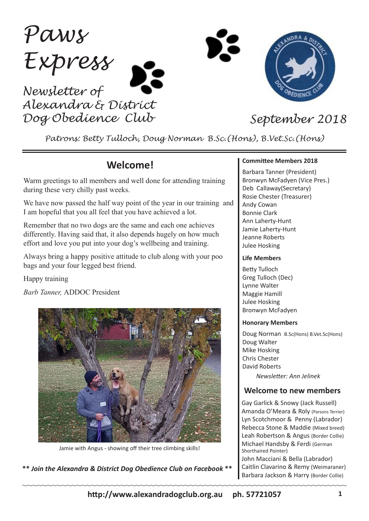*Paws Express Newsletter of*

*Alexandra & District Dog Obedience Club September 2018*



*Patrons: Betty Tulloch, Doug Norman B.Sc.(Hons), B.Vet.Sc.(Hons)*

## **Welcome!**

Warm greetings to all members and well done for attending training during these very chilly past weeks.

We have now passed the half way point of the year in our training and I am hopeful that you all feel that you have achieved a lot.

Remember that no two dogs are the same and each one achieves differently. Having said that, it also depends hugely on how much effort and love you put into your dog's wellbeing and training.

Always bring a happy positive attitude to club along with your poo bags and your four legged best friend.

Happy training

*Barb Tanner,* ADDOC President



Jamie with Angus - showing off their tree climbing skills!

**\*\*** *Join the Alexandra & District Dog Obedience Club on Facebook* **\*\***

#### **Committee Members 2018**

Barbara Tanner (President) Bronwyn McFadyen (Vice Pres.) Deb Callaway(Secretary) Rosie Chester (Treasurer) Andy Cowan Bonnie Clark Ann Laherty-Hunt Jamie Laherty-Hunt Jeanne Roberts Julee Hosking

#### **Life Members**

Betty Tulloch Greg Tulloch (Dec) Lynne Walter Maggie Hamill Julee Hosking Bronwyn McFadyen

#### **Honorary Members**

Doug Norman B.Sc(Hons) B.Vet.Sc(Hons) Doug Walter Mike Hosking Chris Chester David Roberts *Newsletter: Ann Jelinek*

### **Welcome to new members**

Gay Garlick & Snowy (Jack Russell) Amanda O'Meara & Roly (Parsons Terrier) Lyn Scotchmoor & Penny (Labrador) Rebecca Stone & Maddie (Mixed breed) Leah Robertson & Angus (Border Collie) Michael Handsby & Ferdi (German Shorthaired Pointer) John Macciani & Bella (Labrador) Caitlin Clavarino & Remy (Weimaraner) Barbara Jackson & Harry (Border Collie)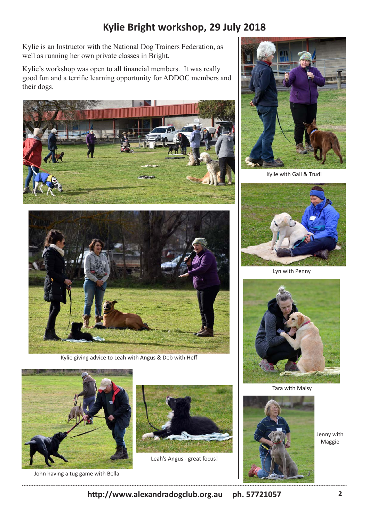# **Kylie Bright workshop, 29 July 2018**

Kylie is an Instructor with the National Dog Trainers Federation, as well as running her own private classes in Bright.

Kylie's workshop was open to all financial members. It was really good fun and a terrific learning opportunity for ADDOC members and their dogs.





Kylie giving advice to Leah with Angus & Deb with Heff



John having a tug game with Bella



Leah's Angus - great focus!



Kylie with Gail & Trudi



Lyn with Penny



Tara with Maisy



Jenny with Maggie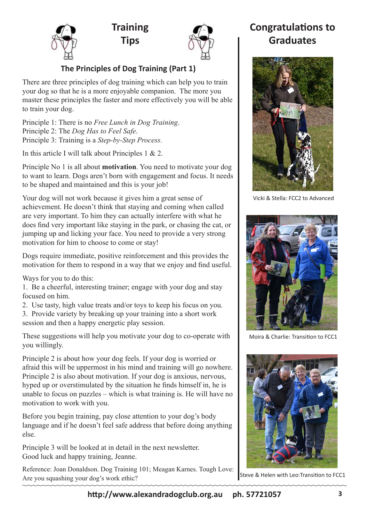





### **The Principles of Dog Training (Part 1)**

There are three principles of dog training which can help you to train your dog so that he is a more enjoyable companion. The more you master these principles the faster and more effectively you will be able to train your dog.

Principle 1: There is no *Free Lunch in Dog Training*. Principle 2: The *Dog Has to Feel Safe*. Principle 3: Training is a *Step-by-Step Process*.

In this article I will talk about Principles 1 & 2.

Principle No 1 is all about **motivation**. You need to motivate your dog to want to learn. Dogs aren't born with engagement and focus. It needs to be shaped and maintained and this is your job!

Your dog will not work because it gives him a great sense of achievement. He doesn't think that staying and coming when called are very important. To him they can actually interfere with what he does find very important like staying in the park, or chasing the cat, or jumping up and licking your face. You need to provide a very strong motivation for him to choose to come or stay!

Dogs require immediate, positive reinforcement and this provides the motivation for them to respond in a way that we enjoy and find useful.

Ways for you to do this:

1. Be a cheerful, interesting trainer; engage with your dog and stay focused on him.

2. Use tasty, high value treats and/or toys to keep his focus on you.

3. Provide variety by breaking up your training into a short work session and then a happy energetic play session.

These suggestions will help you motivate your dog to co-operate with you willingly.

Principle 2 is about how your dog feels. If your dog is worried or afraid this will be uppermost in his mind and training will go nowhere. Principle 2 is also about motivation. If your dog is anxious, nervous, hyped up or overstimulated by the situation he finds himself in, he is unable to focus on puzzles – which is what training is. He will have no motivation to work with you.

Before you begin training, pay close attention to your dog's body language and if he doesn't feel safe address that before doing anything else.

Principle 3 will be looked at in detail in the next newsletter. Good luck and happy training, Jeanne.

Reference: Joan Donaldson. Dog Training 101; Meagan Karnes. Tough Love: Are you squashing your dog's work ethic?

# **Congratulations to Graduates**



Vicki & Stella: FCC2 to Advanced



Moira & Charlie: Transition to FCC1



Steve & Helen with Leo:Transition to FCC1